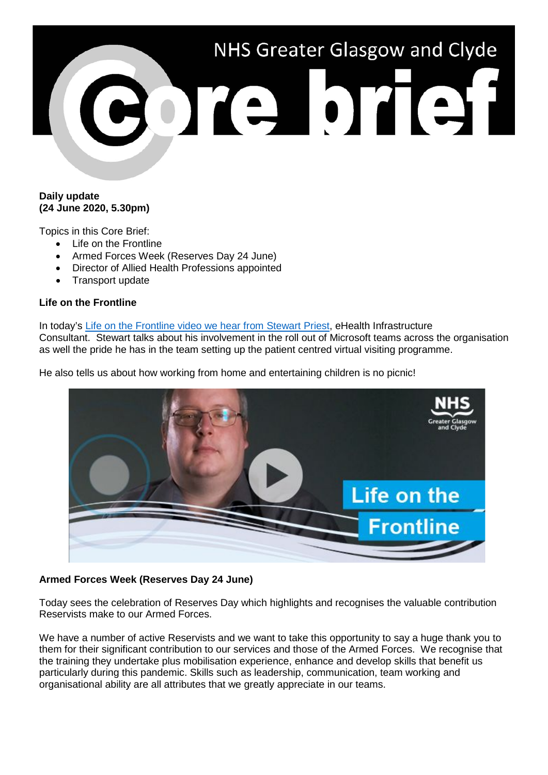

## **Daily update (24 June 2020, 5.30pm)**

Topics in this Core Brief:

- Life on the Frontline
- Armed Forces Week (Reserves Day 24 June)
- Director of Allied Health Professions appointed
- Transport update

# **Life on the Frontline**

In today's [Life on the Frontline video we hear from Stewart Priest,](https://www.youtube.com/watch?v=0fjWiFWNMoA) eHealth Infrastructure Consultant. Stewart talks about his involvement in the roll out of Microsoft teams across the organisation as well the pride he has in the team setting up the patient centred virtual visiting programme.

He also tells us about how working from home and entertaining children is no picnic!



## **Armed Forces Week (Reserves Day 24 June)**

Today sees the celebration of Reserves Day which highlights and recognises the valuable contribution Reservists make to our Armed Forces.

We have a number of active Reservists and we want to take this opportunity to say a huge thank you to them for their significant contribution to our services and those of the Armed Forces. We recognise that the training they undertake plus mobilisation experience, enhance and develop skills that benefit us particularly during this pandemic. Skills such as leadership, communication, team working and organisational ability are all attributes that we greatly appreciate in our teams.